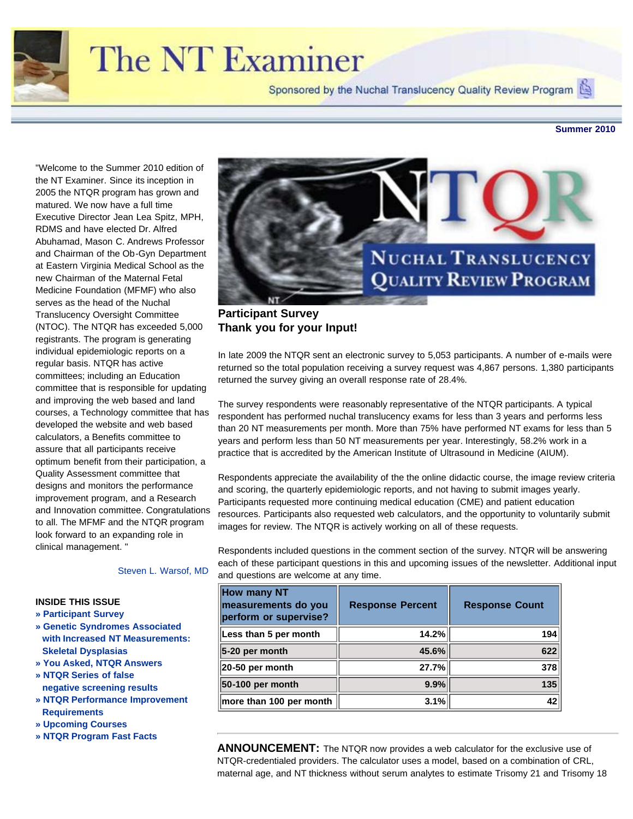

# The NT Examiner

Sponsored by the Nuchal Translucency Quality Review Program

# **Summer 2010**

"Welcome to the Summer 2010 edition of the NT Examiner. Since its inception in 2005 the NTQR program has grown and matured. We now have a full time Executive Director Jean Lea Spitz, MPH, RDMS and have elected Dr. Alfred Abuhamad, Mason C. Andrews Professor and Chairman of the Ob-Gyn Department at Eastern Virginia Medical School as the new Chairman of the Maternal Fetal Medicine Foundation (MFMF) who also serves as the head of the Nuchal Translucency Oversight Committee (NTOC). The NTQR has exceeded 5,000 registrants. The program is generating individual epidemiologic reports on a regular basis. NTQR has active committees; including an Education committee that is responsible for updating and improving the web based and land courses, a Technology committee that has developed the website and web based calculators, a Benefits committee to assure that all participants receive optimum benefit from their participation, a Quality Assessment committee that designs and monitors the performance improvement program, and a Research and Innovation committee. Congratulations to all. The MFMF and the NTQR program look forward to an expanding role in clinical management. "

#### Steven L. Warsof, MD

#### **INSIDE THIS ISSUE**

- **» [Participant Survey](file:///C|/MyStuff/MyFiles/MyProjs/MFMF/Newsletters/The%20(NT)%20Examiner/Issue%20No.%208/V5_ntqr_examiner_issue_no_8.html#topic1)**
- **» [Genetic Syndromes Associated](file:///C|/MyStuff/MyFiles/MyProjs/MFMF/Newsletters/The%20(NT)%20Examiner/Issue%20No.%208/V5_ntqr_examiner_issue_no_8.html#topic2) [with Increased NT Measurements:](file:///C|/MyStuff/MyFiles/MyProjs/MFMF/Newsletters/The%20(NT)%20Examiner/Issue%20No.%208/V5_ntqr_examiner_issue_no_8.html#topic2) [Skeletal Dysplasias](file:///C|/MyStuff/MyFiles/MyProjs/MFMF/Newsletters/The%20(NT)%20Examiner/Issue%20No.%208/V5_ntqr_examiner_issue_no_8.html#topic2)**
- **[»](file:///C|/MyStuff/MyFiles/MyProjs/MFMF/Newsletters/The%20(NT)%20Examiner/Issue%20No.%208/V5_ntqr_examiner_issue_no_8.html#topic2) [You Asked, NTQR Answers](file:///C|/MyStuff/MyFiles/MyProjs/MFMF/Newsletters/The%20(NT)%20Examiner/Issue%20No.%208/V5_ntqr_examiner_issue_no_8.html#topic3) » [NTQR Series of false](#page-1-0)**
- **[negative screening results](#page-1-0)  » [NTQR Performance Improvement](file:///C|/MyStuff/MyFiles/MyProjs/MFMF/Newsletters/The%20(NT)%20Examiner/Issue%20No.%208/V5_ntqr_examiner_issue_no_8.html#topic5)**
- **[Requirements](file:///C|/MyStuff/MyFiles/MyProjs/MFMF/Newsletters/The%20(NT)%20Examiner/Issue%20No.%208/V5_ntqr_examiner_issue_no_8.html#topic5) » [Upcoming Courses](#page-7-0)**
- 
- **» [NTQR Program Fast Facts](file:///C|/MyStuff/MyFiles/MyProjs/MFMF/Newsletters/The%20(NT)%20Examiner/Issue%20No.%208/V5_ntqr_examiner_issue_no_8.html#topic8)**



# **Participant Survey Thank you for your Input!**

In late 2009 the NTQR sent an electronic survey to 5,053 participants. A number of e-mails were returned so the total population receiving a survey request was 4,867 persons. 1,380 participants returned the survey giving an overall response rate of 28.4%.

The survey respondents were reasonably representative of the NTQR participants. A typical respondent has performed nuchal translucency exams for less than 3 years and performs less than 20 NT measurements per month. More than 75% have performed NT exams for less than 5 years and perform less than 50 NT measurements per year. Interestingly, 58.2% work in a practice that is accredited by the American Institute of Ultrasound in Medicine (AIUM).

Respondents appreciate the availability of the the online didactic course, the image review criteria and scoring, the quarterly epidemiologic reports, and not having to submit images yearly. Participants requested more continuing medical education (CME) and patient education resources. Participants also requested web calculators, and the opportunity to voluntarily submit images for review. The NTQR is actively working on all of these requests.

Respondents included questions in the comment section of the survey. NTQR will be answering each of these participant questions in this and upcoming issues of the newsletter. Additional input and questions are welcome at any time.

| <b>How many NT</b><br>measurements do you<br>perform or supervise? | <b>Response Percent</b> | <b>Response Count</b> |
|--------------------------------------------------------------------|-------------------------|-----------------------|
| Less than 5 per month                                              | 14.2%                   | 194                   |
| 5-20 per month                                                     | 45.6%                   | 622                   |
| $ 20-50$ per month                                                 | 27.7%                   | 378                   |
| 50-100 per month                                                   | 9.9%                    | 135                   |
| more than 100 per month                                            | 3.1%                    | 42                    |

**ANNOUNCEMENT:** The NTQR now provides a web calculator for the exclusive use of NTQR-credentialed providers. The calculator uses a model, based on a combination of CRL, maternal age, and NT thickness without serum analytes to estimate Trisomy 21 and Trisomy 18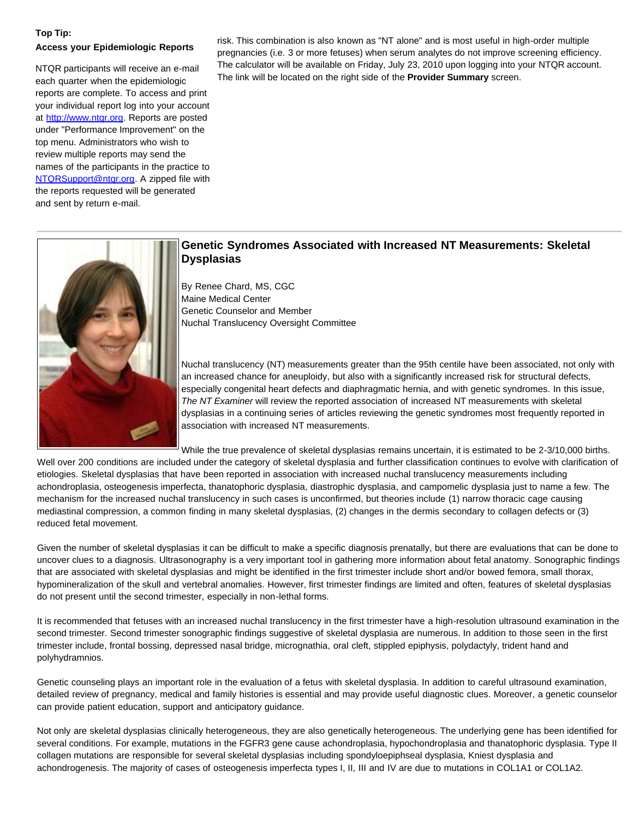# **Top Tip:**

## **Access your Epidemiologic Reports**

NTQR participants will receive an e-mail each quarter when the epidemiologic reports are complete. To access and print your individual report log into your account at [http://www.ntqr.org.](http://www.ntqr.org/) Reports are posted under "Performance Improvement" on the top menu. Administrators who wish to review multiple reports may send the names of the participants in the practice to [NTQRSupport@ntqr.org](mailto:NTQRSupport@ntqr.org). A zipped file with the reports requested will be generated and sent by return e-mail.

risk. This combination is also known as "NT alone" and is most useful in high-order multiple pregnancies (i.e. 3 or more fetuses) when serum analytes do not improve screening efficiency. The calculator will be available on Friday, July 23, 2010 upon logging into your NTQR account. The link will be located on the right side of the **Provider Summary** screen.

<span id="page-1-0"></span>

# **Genetic Syndromes Associated with Increased NT Measurements: Skeletal Dysplasias**

By Renee Chard, MS, CGC Maine Medical Center Genetic Counselor and Member Nuchal Translucency Oversight Committee

Nuchal translucency (NT) measurements greater than the 95th centile have been associated, not only with an increased chance for aneuploidy, but also with a significantly increased risk for structural defects, especially congenital heart defects and diaphragmatic hernia, and with genetic syndromes. In this issue, *The NT Examiner* will review the reported association of increased NT measurements with skeletal dysplasias in a continuing series of articles reviewing the genetic syndromes most frequently reported in association with increased NT measurements.

While the true prevalence of skeletal dysplasias remains uncertain, it is estimated to be 2-3/10,000 births.

Well over 200 conditions are included under the category of skeletal dysplasia and further classification continues to evolve with clarification of etiologies. Skeletal dysplasias that have been reported in association with increased nuchal translucency measurements including achondroplasia, osteogenesis imperfecta, thanatophoric dysplasia, diastrophic dysplasia, and campomelic dysplasia just to name a few. The mechanism for the increased nuchal translucency in such cases is unconfirmed, but theories include (1) narrow thoracic cage causing mediastinal compression, a common finding in many skeletal dysplasias, (2) changes in the dermis secondary to collagen defects or (3) reduced fetal movement.

Given the number of skeletal dysplasias it can be difficult to make a specific diagnosis prenatally, but there are evaluations that can be done to uncover clues to a diagnosis. Ultrasonography is a very important tool in gathering more information about fetal anatomy. Sonographic findings that are associated with skeletal dysplasias and might be identified in the first trimester include short and/or bowed femora, small thorax, hypomineralization of the skull and vertebral anomalies. However, first trimester findings are limited and often, features of skeletal dysplasias do not present until the second trimester, especially in non-lethal forms.

It is recommended that fetuses with an increased nuchal translucency in the first trimester have a high-resolution ultrasound examination in the second trimester. Second trimester sonographic findings suggestive of skeletal dysplasia are numerous. In addition to those seen in the first trimester include, frontal bossing, depressed nasal bridge, micrognathia, oral cleft, stippled epiphysis, polydactyly, trident hand and polyhydramnios.

Genetic counseling plays an important role in the evaluation of a fetus with skeletal dysplasia. In addition to careful ultrasound examination, detailed review of pregnancy, medical and family histories is essential and may provide useful diagnostic clues. Moreover, a genetic counselor can provide patient education, support and anticipatory guidance.

Not only are skeletal dysplasias clinically heterogeneous, they are also genetically heterogeneous. The underlying gene has been identified for several conditions. For example, mutations in the FGFR3 gene cause achondroplasia, hypochondroplasia and thanatophoric dysplasia. Type II collagen mutations are responsible for several skeletal dysplasias including spondyloepiphseal dysplasia, Kniest dysplasia and achondrogenesis. The majority of cases of osteogenesis imperfecta types I, II, III and IV are due to mutations in COL1A1 or COL1A2.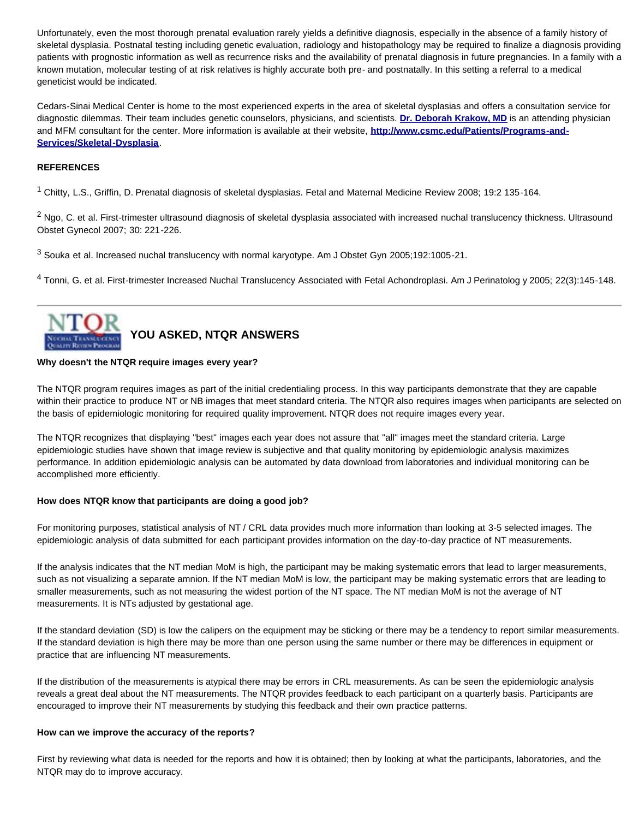Unfortunately, even the most thorough prenatal evaluation rarely yields a definitive diagnosis, especially in the absence of a family history of skeletal dysplasia. Postnatal testing including genetic evaluation, radiology and histopathology may be required to finalize a diagnosis providing patients with prognostic information as well as recurrence risks and the availability of prenatal diagnosis in future pregnancies. In a family with a known mutation, molecular testing of at risk relatives is highly accurate both pre- and postnatally. In this setting a referral to a medical geneticist would be indicated.

Cedars-Sinai Medical Center is home to the most experienced experts in the area of skeletal dysplasias and offers a consultation service for diagnostic dilemmas. Their team includes genetic counselors, physicians, and scientists. **[Dr. Deborah Krakow, MD](mailto:dkrakow@mednet.ucla.edu)** is an attending physician and MFM consultant for the center. More information is available at their website, **[http://www.csmc.edu/Patients/Programs-and-](http://www.cedars-sinai.edu/Patients/Programs-and-Services/Skeletal-Dysplasia/)[Services/Skeletal-Dysplasia](http://www.cedars-sinai.edu/Patients/Programs-and-Services/Skeletal-Dysplasia/)**.

# **REFERENCES**

 $1$  Chitty, L.S., Griffin, D. Prenatal diagnosis of skeletal dysplasias. Fetal and Maternal Medicine Review 2008; 19:2 135-164.

<sup>2</sup> Ngo, C. et al. First-trimester ultrasound diagnosis of skeletal dysplasia associated with increased nuchal translucency thickness. Ultrasound Obstet Gynecol 2007; 30: 221-226.

3 Souka et al. Increased nuchal translucency with normal karyotype. Am J Obstet Gyn 2005;192:1005-21.

4 Tonni, G. et al. First-trimester Increased Nuchal Translucency Associated with Fetal Achondroplasi. Am J Perinatolog y 2005; 22(3):145-148.



# **YOU ASKED, NTQR ANSWERS**

### **Why doesn't the NTQR require images every year?**

The NTQR program requires images as part of the initial credentialing process. In this way participants demonstrate that they are capable within their practice to produce NT or NB images that meet standard criteria. The NTQR also requires images when participants are selected on the basis of epidemiologic monitoring for required quality improvement. NTQR does not require images every year.

The NTQR recognizes that displaying "best" images each year does not assure that "all" images meet the standard criteria. Large epidemiologic studies have shown that image review is subjective and that quality monitoring by epidemiologic analysis maximizes performance. In addition epidemiologic analysis can be automated by data download from laboratories and individual monitoring can be accomplished more efficiently.

# **How does NTQR know that participants are doing a good job?**

For monitoring purposes, statistical analysis of NT / CRL data provides much more information than looking at 3-5 selected images. The epidemiologic analysis of data submitted for each participant provides information on the day-to-day practice of NT measurements.

If the analysis indicates that the NT median MoM is high, the participant may be making systematic errors that lead to larger measurements, such as not visualizing a separate amnion. If the NT median MoM is low, the participant may be making systematic errors that are leading to smaller measurements, such as not measuring the widest portion of the NT space. The NT median MoM is not the average of NT measurements. It is NTs adjusted by gestational age.

If the standard deviation (SD) is low the calipers on the equipment may be sticking or there may be a tendency to report similar measurements. If the standard deviation is high there may be more than one person using the same number or there may be differences in equipment or practice that are influencing NT measurements.

If the distribution of the measurements is atypical there may be errors in CRL measurements. As can be seen the epidemiologic analysis reveals a great deal about the NT measurements. The NTQR provides feedback to each participant on a quarterly basis. Participants are encouraged to improve their NT measurements by studying this feedback and their own practice patterns.

# **How can we improve the accuracy of the reports?**

First by reviewing what data is needed for the reports and how it is obtained; then by looking at what the participants, laboratories, and the NTQR may do to improve accuracy.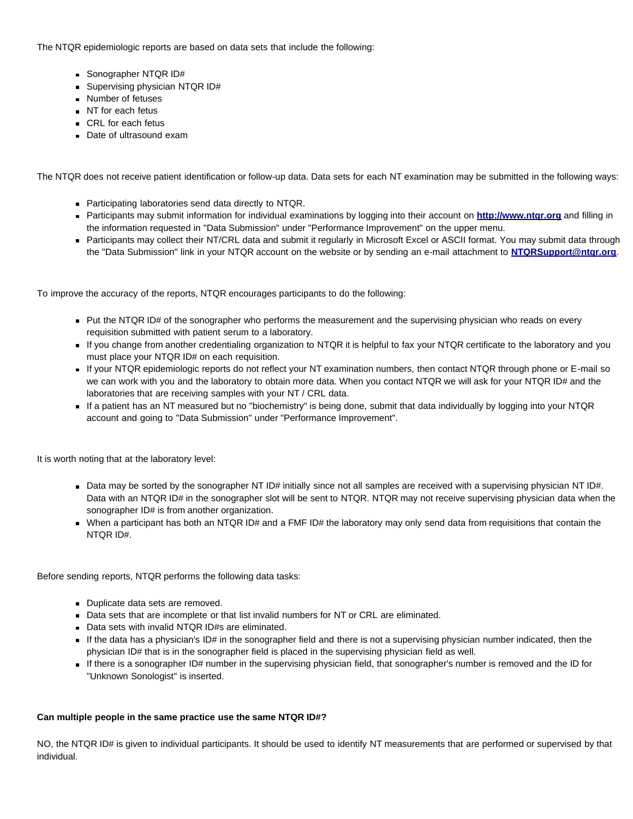The NTQR epidemiologic reports are based on data sets that include the following:

- Sonographer NTQR ID#
- **Supervising physician NTQR ID#**
- **Number of fetuses**
- NT for each fetus
- CRL for each fetus
- Date of ultrasound exam

The NTQR does not receive patient identification or follow-up data. Data sets for each NT examination may be submitted in the following ways:

- Participating laboratories send data directly to NTQR.
- Participants may submit information for individual examinations by logging into their account on **[http://www.ntqr.org](http://www.ntqr.org"/)** and filling in the information requested in "Data Submission" under "Performance Improvement" on the upper menu.
- Participants may collect their NT/CRL data and submit it regularly in Microsoft Excel or ASCII format. You may submit data through the "Data Submission" link in your NTQR account on the website or by sending an e-mail attachment to **[NTQRSupport@ntqr.org](mailto:NTQRSupport@ntqr.org")**.

To improve the accuracy of the reports, NTQR encourages participants to do the following:

- Put the NTQR ID# of the sonographer who performs the measurement and the supervising physician who reads on every requisition submitted with patient serum to a laboratory.
- If you change from another credentialing organization to NTQR it is helpful to fax your NTQR certificate to the laboratory and you must place your NTQR ID# on each requisition.
- If your NTQR epidemiologic reports do not reflect your NT examination numbers, then contact NTQR through phone or E-mail so we can work with you and the laboratory to obtain more data. When you contact NTQR we will ask for your NTQR ID# and the laboratories that are receiving samples with your NT / CRL data.
- If a patient has an NT measured but no "biochemistry" is being done, submit that data individually by logging into your NTQR account and going to "Data Submission" under "Performance Improvement".

It is worth noting that at the laboratory level:

- Data may be sorted by the sonographer NT ID# initially since not all samples are received with a supervising physician NT ID#. Data with an NTQR ID# in the sonographer slot will be sent to NTQR. NTQR may not receive supervising physician data when the sonographer ID# is from another organization.
- When a participant has both an NTQR ID# and a FMF ID# the laboratory may only send data from requisitions that contain the NTQR ID#.

Before sending reports, NTQR performs the following data tasks:

- Duplicate data sets are removed.
- Data sets that are incomplete or that list invalid numbers for NT or CRL are eliminated.
- Data sets with invalid NTQR ID#s are eliminated.
- If the data has a physician's  $ID#$  in the sonographer field and there is not a supervising physician number indicated, then the physician ID# that is in the sonographer field is placed in the supervising physician field as well.
- If there is a sonographer ID# number in the supervising physician field, that sonographer's number is removed and the ID for "Unknown Sonologist" is inserted.

# **Can multiple people in the same practice use the same NTQR ID#?**

NO, the NTQR ID# is given to individual participants. It should be used to identify NT measurements that are performed or supervised by that individual.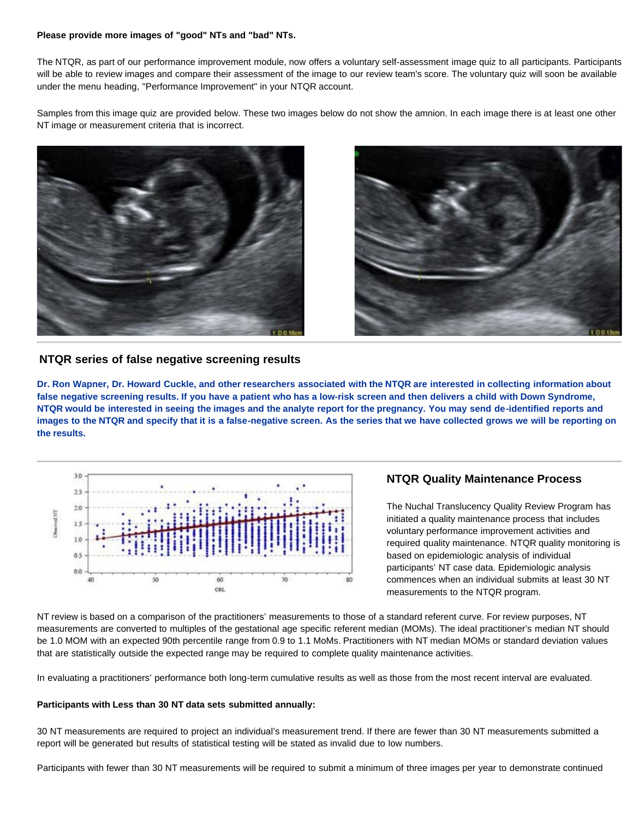## **Please provide more images of "good" NTs and "bad" NTs.**

The NTQR, as part of our performance improvement module, now offers a voluntary self-assessment image quiz to all participants. Participants will be able to review images and compare their assessment of the image to our review team's score. The voluntary quiz will soon be available under the menu heading, "Performance Improvement" in your NTQR account.

Samples from this image quiz are provided below. These two images below do not show the amnion. In each image there is at least one other NT image or measurement criteria that is incorrect.





# **NTQR series of false negative screening results**

**Dr. Ron Wapner, Dr. Howard Cuckle, and other researchers associated with the NTQR are interested in collecting information about false negative screening results. If you have a patient who has a low-risk screen and then delivers a child with Down Syndrome, NTQR would be interested in seeing the images and the analyte report for the pregnancy. You may send de-identified reports and images to the NTQR and specify that it is a false-negative screen. As the series that we have collected grows we will be reporting on the results.** 



# **NTQR Quality Maintenance Process**

The Nuchal Translucency Quality Review Program has initiated a quality maintenance process that includes voluntary performance improvement activities and required quality maintenance. NTQR quality monitoring is based on epidemiologic analysis of individual participants' NT case data. Epidemiologic analysis commences when an individual submits at least 30 NT measurements to the NTQR program.

NT review is based on a comparison of the practitioners' measurements to those of a standard referent curve. For review purposes, NT measurements are converted to multiples of the gestational age specific referent median (MOMs). The ideal practitioner's median NT should be 1.0 MOM with an expected 90th percentile range from 0.9 to 1.1 MoMs. Practitioners with NT median MOMs or standard deviation values that are statistically outside the expected range may be required to complete quality maintenance activities.

In evaluating a practitioners' performance both long-term cumulative results as well as those from the most recent interval are evaluated.

#### **Participants with Less than 30 NT data sets submitted annually:**

30 NT measurements are required to project an individual's measurement trend. If there are fewer than 30 NT measurements submitted a report will be generated but results of statistical testing will be stated as invalid due to low numbers.

Participants with fewer than 30 NT measurements will be required to submit a minimum of three images per year to demonstrate continued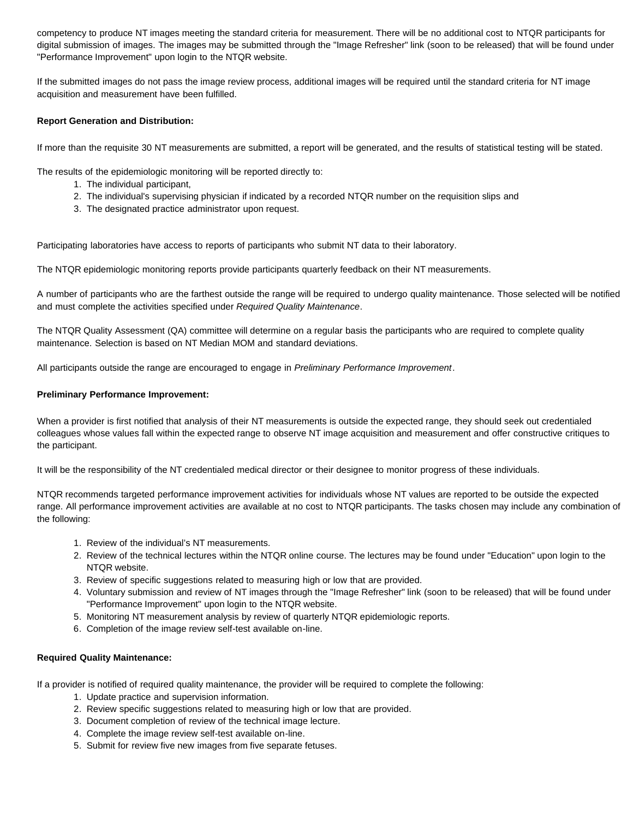competency to produce NT images meeting the standard criteria for measurement. There will be no additional cost to NTQR participants for digital submission of images. The images may be submitted through the "Image Refresher" link (soon to be released) that will be found under "Performance Improvement" upon login to the NTQR website.

If the submitted images do not pass the image review process, additional images will be required until the standard criteria for NT image acquisition and measurement have been fulfilled.

# **Report Generation and Distribution:**

If more than the requisite 30 NT measurements are submitted, a report will be generated, and the results of statistical testing will be stated.

The results of the epidemiologic monitoring will be reported directly to:

- 1. The individual participant,
- 2. The individual's supervising physician if indicated by a recorded NTQR number on the requisition slips and
- 3. The designated practice administrator upon request.

Participating laboratories have access to reports of participants who submit NT data to their laboratory.

The NTQR epidemiologic monitoring reports provide participants quarterly feedback on their NT measurements.

A number of participants who are the farthest outside the range will be required to undergo quality maintenance. Those selected will be notified and must complete the activities specified under *Required Quality Maintenance*.

The NTQR Quality Assessment (QA) committee will determine on a regular basis the participants who are required to complete quality maintenance. Selection is based on NT Median MOM and standard deviations.

All participants outside the range are encouraged to engage in *Preliminary Performance Improvement*.

# **Preliminary Performance Improvement:**

When a provider is first notified that analysis of their NT measurements is outside the expected range, they should seek out credentialed colleagues whose values fall within the expected range to observe NT image acquisition and measurement and offer constructive critiques to the participant.

It will be the responsibility of the NT credentialed medical director or their designee to monitor progress of these individuals.

NTQR recommends targeted performance improvement activities for individuals whose NT values are reported to be outside the expected range. All performance improvement activities are available at no cost to NTQR participants. The tasks chosen may include any combination of the following:

- 1. Review of the individual's NT measurements.
- 2. Review of the technical lectures within the NTQR online course. The lectures may be found under "Education" upon login to the NTQR website.
- 3. Review of specific suggestions related to measuring high or low that are provided.
- 4. Voluntary submission and review of NT images through the "Image Refresher" link (soon to be released) that will be found under "Performance Improvement" upon login to the NTQR website.
- 5. Monitoring NT measurement analysis by review of quarterly NTQR epidemiologic reports.
- 6. Completion of the image review self-test available on-line.

# **Required Quality Maintenance:**

If a provider is notified of required quality maintenance, the provider will be required to complete the following:

- 1. Update practice and supervision information.
- 2. Review specific suggestions related to measuring high or low that are provided.
- 3. Document completion of review of the technical image lecture.
- 4. Complete the image review self-test available on-line.
- 5. Submit for review five new images from five separate fetuses.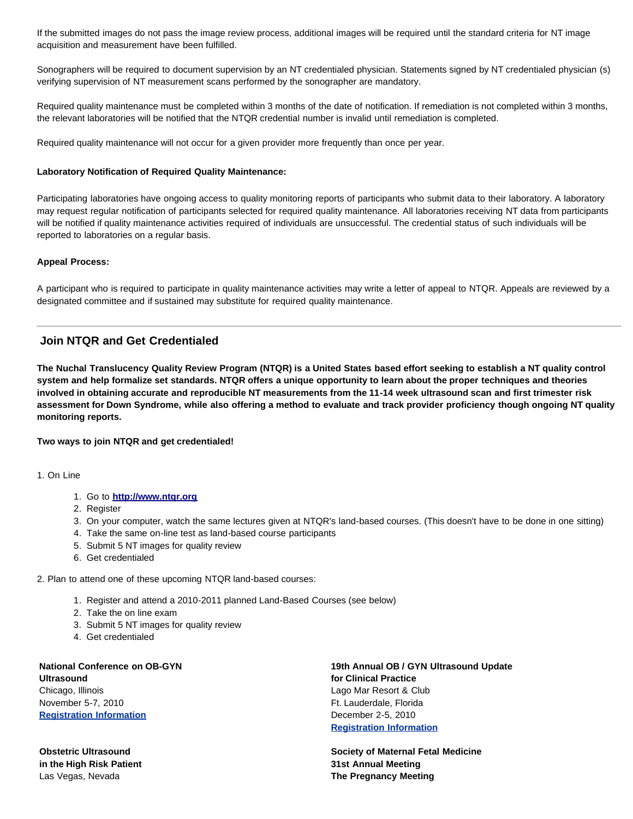If the submitted images do not pass the image review process, additional images will be required until the standard criteria for NT image acquisition and measurement have been fulfilled.

Sonographers will be required to document supervision by an NT credentialed physician. Statements signed by NT credentialed physician (s) verifying supervision of NT measurement scans performed by the sonographer are mandatory.

Required quality maintenance must be completed within 3 months of the date of notification. If remediation is not completed within 3 months, the relevant laboratories will be notified that the NTQR credential number is invalid until remediation is completed.

Required quality maintenance will not occur for a given provider more frequently than once per year.

## **Laboratory Notification of Required Quality Maintenance:**

Participating laboratories have ongoing access to quality monitoring reports of participants who submit data to their laboratory. A laboratory may request regular notification of participants selected for required quality maintenance. All laboratories receiving NT data from participants will be notified if quality maintenance activities required of individuals are unsuccessful. The credential status of such individuals will be reported to laboratories on a regular basis.

### **Appeal Process:**

A participant who is required to participate in quality maintenance activities may write a letter of appeal to NTQR. Appeals are reviewed by a designated committee and if sustained may substitute for required quality maintenance.

# **Join NTQR and Get Credentialed**

**The Nuchal Translucency Quality Review Program (NTQR) is a United States based effort seeking to establish a NT quality control system and help formalize set standards. NTQR offers a unique opportunity to learn about the proper techniques and theories involved in obtaining accurate and reproducible NT measurements from the 11-14 week ultrasound scan and first trimester risk assessment for Down Syndrome, while also offering a method to evaluate and track provider proficiency though ongoing NT quality monitoring reports.** 

# **Two ways to join NTQR and get credentialed!**

1. On Line

- 1. Go to **[http://www.ntqr.org](http://www.ntqr.org/)**
- 2. Register
- 3. On your computer, watch the same lectures given at NTQR's land-based courses. (This doesn't have to be done in one sitting)
- 4. Take the same on-line test as land-based course participants
- 5. Submit 5 NT images for quality review
- 6. Get credentialed
- 2. Plan to attend one of these upcoming NTQR land-based courses:
	- 1. Register and attend a 2010-2011 planned Land-Based Courses (see below)
	- 2. Take the on line exam
	- 3. Submit 5 NT images for quality review
	- 4. Get credentialed

**National Conference on OB-GYN Ultrasound** Chicago, Illinois November 5-7, 2010 **[Registration Information](https://iame.com/conferences/obgynu1110/)**

**Obstetric Ultrasound in the High Risk Patient** Las Vegas, Nevada

**19th Annual OB / GYN Ultrasound Update for Clinical Practice** Lago Mar Resort & Club Ft. Lauderdale, Florida December 2-5, 2010 **[Registration Information](http://www.meetingpro.info/PLAZA/default.aspx)**

**Society of Maternal Fetal Medicine 31st Annual Meeting The Pregnancy Meeting**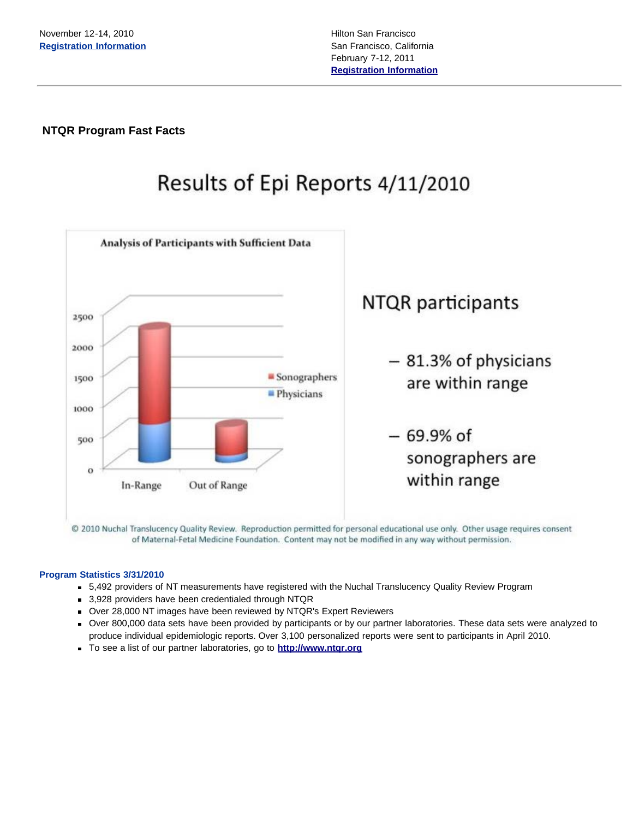# <span id="page-7-0"></span> **NTQR Program Fast Facts**

# Results of Epi Reports 4/11/2010



of Maternal-Fetal Medicine Foundation. Content may not be modified in any way without permission.

# **Program Statistics 3/31/2010**

- 5,492 providers of NT measurements have registered with the Nuchal Translucency Quality Review Program
- 3,928 providers have been credentialed through NTQR
- Over 28,000 NT images have been reviewed by NTQR's Expert Reviewers
- Over 800,000 data sets have been provided by participants or by our partner laboratories. These data sets were analyzed to produce individual epidemiologic reports. Over 3,100 personalized reports were sent to participants in April 2010.
- To see a list of our partner laboratories, go to **[http://www.ntqr.org](http://www.ntqr.org/)**